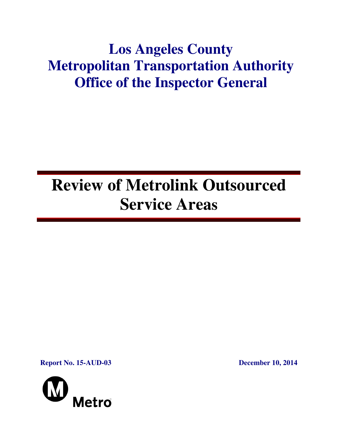# **Los Angeles County Metropolitan Transportation Authority Office of the Inspector General**

# **Review of Metrolink Outsourced Service Areas**

**Report No. 15-AUD-03 December 10, 2014**

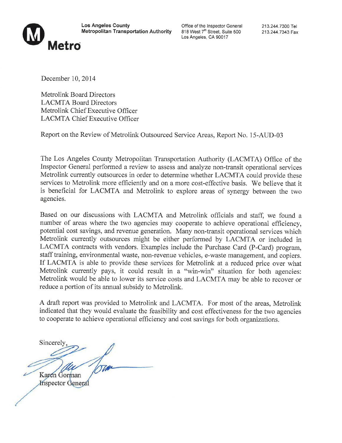

**Los Angeles County Metropolitan Transportation Authority** 

Office of the Inspector General 818 West 7<sup>th</sup> Street, Suite 500 Los Angeles, CA 90017

213.244.7300 Tel 213.244.7343 Fax

December 10, 2014

**Metrolink Board Directors LACMTA Board Directors** Metrolink Chief Executive Officer **LACMTA Chief Executive Officer** 

Report on the Review of Metrolink Outsourced Service Areas, Report No. 15-AUD-03

The Los Angeles County Metropolitan Transportation Authority (LACMTA) Office of the Inspector General performed a review to assess and analyze non-transit operational services Metrolink currently outsources in order to determine whether LACMTA could provide these services to Metrolink more efficiently and on a more cost-effective basis. We believe that it is beneficial for LACMTA and Metrolink to explore areas of synergy between the two agencies.

Based on our discussions with LACMTA and Metrolink officials and staff, we found a number of areas where the two agencies may cooperate to achieve operational efficiency, potential cost savings, and revenue generation. Many non-transit operational services which Metrolink currently outsources might be either performed by LACMTA or included in LACMTA contracts with vendors. Examples include the Purchase Card (P-Card) program, staff training, environmental waste, non-revenue vehicles, e-waste management, and copiers. If LACMTA is able to provide these services for Metrolink at a reduced price over what Metrolink currently pays, it could result in a "win-win" situation for both agencies: Metrolink would be able to lower its service costs and LACMTA may be able to recover or reduce a portion of its annual subsidy to Metrolink.

A draft report was provided to Metrolink and LACMTA. For most of the areas, Metrolink indicated that they would evaluate the feasibility and cost effectiveness for the two agencies to cooperate to achieve operational efficiency and cost savings for both organizations.

Sincerel Karen Gorman **Inspector General**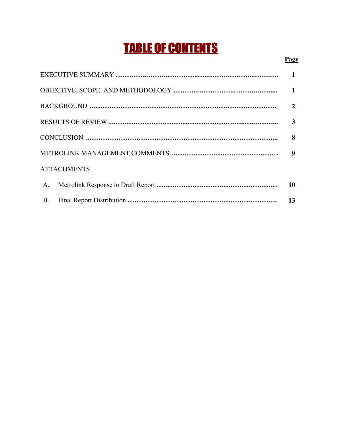# TABLE OF CONTENTS

## **Page**

|                    | $\mathbf{1}$     |
|--------------------|------------------|
|                    | $\mathbf{2}$     |
|                    | 3                |
|                    | 8                |
|                    | $\boldsymbol{9}$ |
| <b>ATTACHMENTS</b> |                  |
| A.                 | 10               |
| <b>B.</b>          | 13               |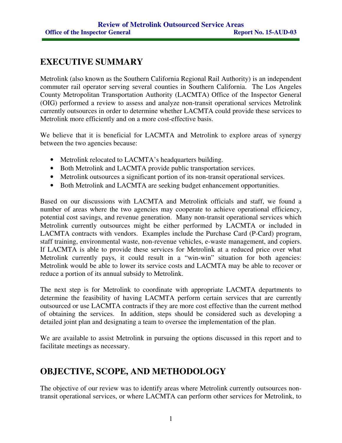# **EXECUTIVE SUMMARY**

Metrolink (also known as the Southern California Regional Rail Authority) is an independent commuter rail operator serving several counties in Southern California. The Los Angeles County Metropolitan Transportation Authority (LACMTA) Office of the Inspector General (OIG) performed a review to assess and analyze non-transit operational services Metrolink currently outsources in order to determine whether LACMTA could provide these services to Metrolink more efficiently and on a more cost-effective basis.

We believe that it is beneficial for LACMTA and Metrolink to explore areas of synergy between the two agencies because:

- Metrolink relocated to LACMTA's headquarters building.
- Both Metrolink and LACMTA provide public transportation services.
- Metrolink outsources a significant portion of its non-transit operational services.
- Both Metrolink and LACMTA are seeking budget enhancement opportunities.

Based on our discussions with LACMTA and Metrolink officials and staff, we found a number of areas where the two agencies may cooperate to achieve operational efficiency, potential cost savings, and revenue generation. Many non-transit operational services which Metrolink currently outsources might be either performed by LACMTA or included in LACMTA contracts with vendors. Examples include the Purchase Card (P-Card) program, staff training, environmental waste, non-revenue vehicles, e-waste management, and copiers. If LACMTA is able to provide these services for Metrolink at a reduced price over what Metrolink currently pays, it could result in a "win-win" situation for both agencies: Metrolink would be able to lower its service costs and LACMTA may be able to recover or reduce a portion of its annual subsidy to Metrolink.

The next step is for Metrolink to coordinate with appropriate LACMTA departments to determine the feasibility of having LACMTA perform certain services that are currently outsourced or use LACMTA contracts if they are more cost effective than the current method of obtaining the services. In addition, steps should be considered such as developing a detailed joint plan and designating a team to oversee the implementation of the plan.

We are available to assist Metrolink in pursuing the options discussed in this report and to facilitate meetings as necessary.

# **OBJECTIVE, SCOPE, AND METHODOLOGY**

The objective of our review was to identify areas where Metrolink currently outsources nontransit operational services, or where LACMTA can perform other services for Metrolink, to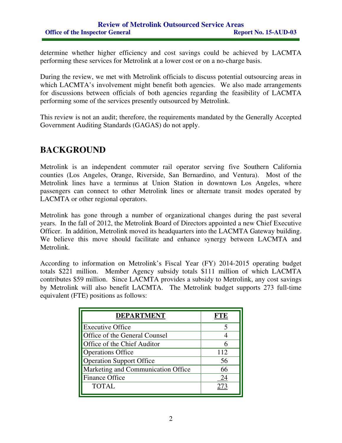determine whether higher efficiency and cost savings could be achieved by LACMTA performing these services for Metrolink at a lower cost or on a no-charge basis.

During the review, we met with Metrolink officials to discuss potential outsourcing areas in which LACMTA's involvement might benefit both agencies. We also made arrangements for discussions between officials of both agencies regarding the feasibility of LACMTA performing some of the services presently outsourced by Metrolink.

This review is not an audit; therefore, the requirements mandated by the Generally Accepted Government Auditing Standards (GAGAS) do not apply.

# **BACKGROUND**

Metrolink is an independent commuter rail operator serving five Southern California counties (Los Angeles, Orange, Riverside, San Bernardino, and Ventura). Most of the Metrolink lines have a terminus at Union Station in downtown Los Angeles, where passengers can connect to other Metrolink lines or alternate transit modes operated by LACMTA or other regional operators.

Metrolink has gone through a number of organizational changes during the past several years. In the fall of 2012, the Metrolink Board of Directors appointed a new Chief Executive Officer. In addition, Metrolink moved its headquarters into the LACMTA Gateway building. We believe this move should facilitate and enhance synergy between LACMTA and Metrolink.

According to information on Metrolink's Fiscal Year (FY) 2014-2015 operating budget totals \$221 million. Member Agency subsidy totals \$111 million of which LACMTA contributes \$59 million. Since LACMTA provides a subsidy to Metrolink, any cost savings by Metrolink will also benefit LACMTA. The Metrolink budget supports 273 full-time equivalent (FTE) positions as follows:

| <b>DEPARTMENT</b>                  |     |
|------------------------------------|-----|
| <b>Executive Office</b>            |     |
| Office of the General Counsel      |     |
| Office of the Chief Auditor        |     |
| <b>Operations Office</b>           | 112 |
| <b>Operation Support Office</b>    | 56  |
| Marketing and Communication Office | 66  |
| <b>Finance Office</b>              | 24  |
| <b>TOTAL</b>                       |     |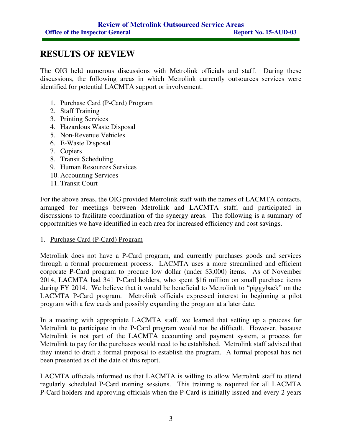# **RESULTS OF REVIEW**

The OIG held numerous discussions with Metrolink officials and staff. During these discussions, the following areas in which Metrolink currently outsources services were identified for potential LACMTA support or involvement:

- 1. Purchase Card (P-Card) Program
- 2. Staff Training
- 3. Printing Services
- 4. Hazardous Waste Disposal
- 5. Non-Revenue Vehicles
- 6. E-Waste Disposal
- 7. Copiers
- 8. Transit Scheduling
- 9. Human Resources Services
- 10. Accounting Services
- 11. Transit Court

For the above areas, the OIG provided Metrolink staff with the names of LACMTA contacts, arranged for meetings between Metrolink and LACMTA staff, and participated in discussions to facilitate coordination of the synergy areas. The following is a summary of opportunities we have identified in each area for increased efficiency and cost savings.

### 1. Purchase Card (P-Card) Program

Metrolink does not have a P-Card program, and currently purchases goods and services through a formal procurement process. LACMTA uses a more streamlined and efficient corporate P-Card program to procure low dollar (under \$3,000) items. As of November 2014, LACMTA had 341 P-Card holders, who spent \$16 million on small purchase items during FY 2014. We believe that it would be beneficial to Metrolink to "piggyback" on the LACMTA P-Card program. Metrolink officials expressed interest in beginning a pilot program with a few cards and possibly expanding the program at a later date.

In a meeting with appropriate LACMTA staff, we learned that setting up a process for Metrolink to participate in the P-Card program would not be difficult. However, because Metrolink is not part of the LACMTA accounting and payment system, a process for Metrolink to pay for the purchases would need to be established. Metrolink staff advised that they intend to draft a formal proposal to establish the program. A formal proposal has not been presented as of the date of this report.

LACMTA officials informed us that LACMTA is willing to allow Metrolink staff to attend regularly scheduled P-Card training sessions. This training is required for all LACMTA P-Card holders and approving officials when the P-Card is initially issued and every 2 years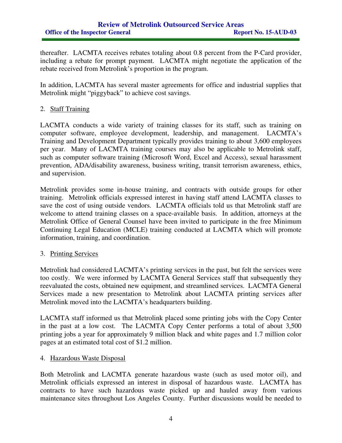thereafter. LACMTA receives rebates totaling about 0.8 percent from the P-Card provider, including a rebate for prompt payment. LACMTA might negotiate the application of the rebate received from Metrolink's proportion in the program.

In addition, LACMTA has several master agreements for office and industrial supplies that Metrolink might "piggyback" to achieve cost savings.

### 2. Staff Training

LACMTA conducts a wide variety of training classes for its staff, such as training on computer software, employee development, leadership, and management. LACMTA's Training and Development Department typically provides training to about 3,600 employees per year. Many of LACMTA training courses may also be applicable to Metrolink staff, such as computer software training (Microsoft Word, Excel and Access), sexual harassment prevention, ADA/disability awareness, business writing, transit terrorism awareness, ethics, and supervision.

Metrolink provides some in-house training, and contracts with outside groups for other training. Metrolink officials expressed interest in having staff attend LACMTA classes to save the cost of using outside vendors. LACMTA officials told us that Metrolink staff are welcome to attend training classes on a space-available basis. In addition, attorneys at the Metrolink Office of General Counsel have been invited to participate in the free Minimum Continuing Legal Education (MCLE) training conducted at LACMTA which will promote information, training, and coordination.

### 3. Printing Services

Metrolink had considered LACMTA's printing services in the past, but felt the services were too costly. We were informed by LACMTA General Services staff that subsequently they reevaluated the costs, obtained new equipment, and streamlined services. LACMTA General Services made a new presentation to Metrolink about LACMTA printing services after Metrolink moved into the LACMTA's headquarters building.

LACMTA staff informed us that Metrolink placed some printing jobs with the Copy Center in the past at a low cost. The LACMTA Copy Center performs a total of about 3,500 printing jobs a year for approximately 9 million black and white pages and 1.7 million color pages at an estimated total cost of \$1.2 million.

### 4. Hazardous Waste Disposal

Both Metrolink and LACMTA generate hazardous waste (such as used motor oil), and Metrolink officials expressed an interest in disposal of hazardous waste. LACMTA has contracts to have such hazardous waste picked up and hauled away from various maintenance sites throughout Los Angeles County. Further discussions would be needed to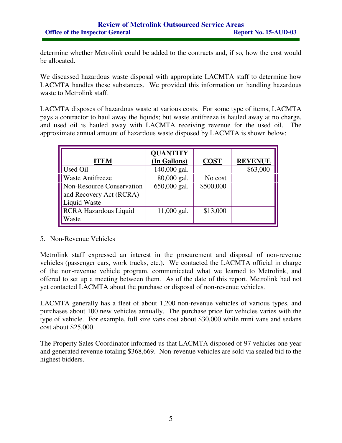determine whether Metrolink could be added to the contracts and, if so, how the cost would be allocated.

We discussed hazardous waste disposal with appropriate LACMTA staff to determine how LACMTA handles these substances. We provided this information on handling hazardous waste to Metrolink staff.

LACMTA disposes of hazardous waste at various costs. For some type of items, LACMTA pays a contractor to haul away the liquids; but waste antifreeze is hauled away at no charge, and used oil is hauled away with LACMTA receiving revenue for the used oil. The approximate annual amount of hazardous waste disposed by LACMTA is shown below:

| <b>ITEM</b>                                                                 | <b>QUANTITY</b><br>(In Gallons) | <b>COST</b> | <b>REVENUE</b> |
|-----------------------------------------------------------------------------|---------------------------------|-------------|----------------|
| Used Oil                                                                    | 140,000 gal.                    |             | \$63,000       |
| <b>Waste Antifreeze</b>                                                     | 80,000 gal.                     | No cost     |                |
| Non-Resource Conservation<br>and Recovery Act (RCRA)<br><b>Liquid Waste</b> | 650,000 gal.                    | \$500,000   |                |
| <b>RCRA Hazardous Liquid</b><br>Waste                                       | $11,000$ gal.                   | \$13,000    |                |

### 5. Non-Revenue Vehicles

Metrolink staff expressed an interest in the procurement and disposal of non-revenue vehicles (passenger cars, work trucks, etc.). We contacted the LACMTA official in charge of the non-revenue vehicle program, communicated what we learned to Metrolink, and offered to set up a meeting between them. As of the date of this report, Metrolink had not yet contacted LACMTA about the purchase or disposal of non-revenue vehicles.

LACMTA generally has a fleet of about 1,200 non-revenue vehicles of various types, and purchases about 100 new vehicles annually. The purchase price for vehicles varies with the type of vehicle. For example, full size vans cost about \$30,000 while mini vans and sedans cost about \$25,000.

The Property Sales Coordinator informed us that LACMTA disposed of 97 vehicles one year and generated revenue totaling \$368,669. Non-revenue vehicles are sold via sealed bid to the highest bidders.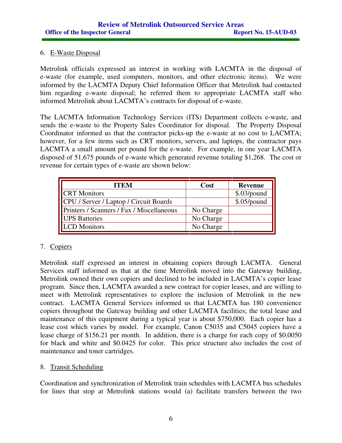## 6. E-Waste Disposal

Metrolink officials expressed an interest in working with LACMTA in the disposal of e-waste (for example, used computers, monitors, and other electronic items). We were informed by the LACMTA Deputy Chief Information Officer that Metrolink had contacted him regarding e-waste disposal; he referred them to appropriate LACMTA staff who informed Metrolink about LACMTA's contracts for disposal of e-waste.

The LACMTA Information Technology Services (ITS) Department collects e-waste, and sends the e-waste to the Property Sales Coordinator for disposal. The Property Disposal Coordinator informed us that the contractor picks-up the e-waste at no cost to LACMTA; however, for a few items such as CRT monitors, servers, and laptops, the contractor pays LACMTA a small amount per pound for the e-waste. For example, in one year LACMTA disposed of 51,675 pounds of e-waste which generated revenue totaling \$1,268. The cost or revenue for certain types of e-waste are shown below:

| <b>ITEM</b>                               | Cost      | <b>Revenue</b> |
|-------------------------------------------|-----------|----------------|
| <b>ICRT</b> Monitors                      |           | \$.03/pound    |
| CPU / Server / Laptop / Circuit Boards    |           | \$.05/pound    |
| Printers / Scanners / Fax / Miscellaneous | No Charge |                |
| <b>UPS</b> Batteries                      | No Charge |                |
| <b>ILCD</b> Monitors                      | No Charge |                |

# 7. Copiers

Metrolink staff expressed an interest in obtaining copiers through LACMTA. General Services staff informed us that at the time Metrolink moved into the Gateway building, Metrolink owned their own copiers and declined to be included in LACMTA's copier lease program. Since then, LACMTA awarded a new contract for copier leases, and are willing to meet with Metrolink representatives to explore the inclusion of Metrolink in the new contract. LACMTA General Services informed us that LACMTA has 180 convenience copiers throughout the Gateway building and other LACMTA facilities; the total lease and maintenance of this equipment during a typical year is about \$750,000. Each copier has a lease cost which varies by model. For example, Canon C5035 and C5045 copiers have a lease charge of \$156.21 per month. In addition, there is a charge for each copy of \$0.0050 for black and white and \$0.0425 for color. This price structure also includes the cost of maintenance and toner cartridges.

### 8. Transit Scheduling

Coordination and synchronization of Metrolink train schedules with LACMTA bus schedules for lines that stop at Metrolink stations would (a) facilitate transfers between the two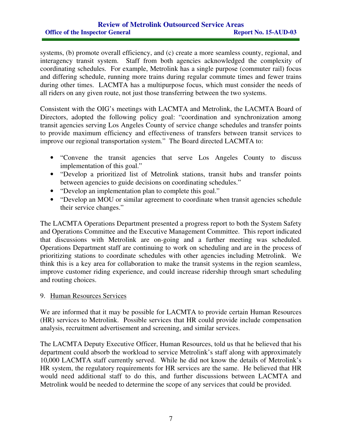systems, (b) promote overall efficiency, and (c) create a more seamless county, regional, and interagency transit system. Staff from both agencies acknowledged the complexity of coordinating schedules. For example, Metrolink has a single purpose (commuter rail) focus and differing schedule, running more trains during regular commute times and fewer trains during other times. LACMTA has a multipurpose focus, which must consider the needs of all riders on any given route, not just those transferring between the two systems.

Consistent with the OIG's meetings with LACMTA and Metrolink, the LACMTA Board of Directors, adopted the following policy goal: "coordination and synchronization among transit agencies serving Los Angeles County of service change schedules and transfer points to provide maximum efficiency and effectiveness of transfers between transit services to improve our regional transportation system." The Board directed LACMTA to:

- "Convene the transit agencies that serve Los Angeles County to discuss implementation of this goal."
- "Develop a prioritized list of Metrolink stations, transit hubs and transfer points between agencies to guide decisions on coordinating schedules."
- "Develop an implementation plan to complete this goal."
- "Develop an MOU or similar agreement to coordinate when transit agencies schedule their service changes."

The LACMTA Operations Department presented a progress report to both the System Safety and Operations Committee and the Executive Management Committee. This report indicated that discussions with Metrolink are on-going and a further meeting was scheduled. Operations Department staff are continuing to work on scheduling and are in the process of prioritizing stations to coordinate schedules with other agencies including Metrolink. We think this is a key area for collaboration to make the transit systems in the region seamless, improve customer riding experience, and could increase ridership through smart scheduling and routing choices.

### 9. Human Resources Services

We are informed that it may be possible for LACMTA to provide certain Human Resources (HR) services to Metrolink. Possible services that HR could provide include compensation analysis, recruitment advertisement and screening, and similar services.

The LACMTA Deputy Executive Officer, Human Resources, told us that he believed that his department could absorb the workload to service Metrolink's staff along with approximately 10,000 LACMTA staff currently served. While he did not know the details of Metrolink's HR system, the regulatory requirements for HR services are the same. He believed that HR would need additional staff to do this, and further discussions between LACMTA and Metrolink would be needed to determine the scope of any services that could be provided.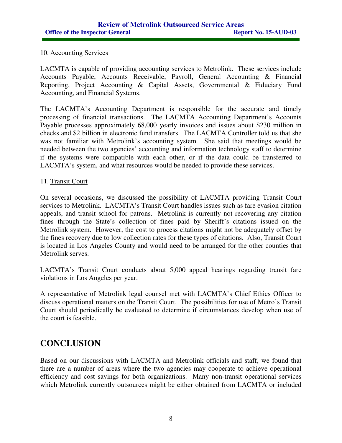### 10. Accounting Services

LACMTA is capable of providing accounting services to Metrolink. These services include Accounts Payable, Accounts Receivable, Payroll, General Accounting & Financial Reporting, Project Accounting & Capital Assets, Governmental & Fiduciary Fund Accounting, and Financial Systems.

The LACMTA's Accounting Department is responsible for the accurate and timely processing of financial transactions. The LACMTA Accounting Department's Accounts Payable processes approximately 68,000 yearly invoices and issues about \$230 million in checks and \$2 billion in electronic fund transfers. The LACMTA Controller told us that she was not familiar with Metrolink's accounting system. She said that meetings would be needed between the two agencies' accounting and information technology staff to determine if the systems were compatible with each other, or if the data could be transferred to LACMTA's system, and what resources would be needed to provide these services.

### 11. Transit Court

On several occasions, we discussed the possibility of LACMTA providing Transit Court services to Metrolink. LACMTA's Transit Court handles issues such as fare evasion citation appeals, and transit school for patrons. Metrolink is currently not recovering any citation fines through the State's collection of fines paid by Sheriff's citations issued on the Metrolink system. However, the cost to process citations might not be adequately offset by the fines recovery due to low collection rates for these types of citations. Also, Transit Court is located in Los Angeles County and would need to be arranged for the other counties that Metrolink serves.

LACMTA's Transit Court conducts about 5,000 appeal hearings regarding transit fare violations in Los Angeles per year.

A representative of Metrolink legal counsel met with LACMTA's Chief Ethics Officer to discuss operational matters on the Transit Court. The possibilities for use of Metro's Transit Court should periodically be evaluated to determine if circumstances develop when use of the court is feasible.

# **CONCLUSION**

Based on our discussions with LACMTA and Metrolink officials and staff, we found that there are a number of areas where the two agencies may cooperate to achieve operational efficiency and cost savings for both organizations. Many non-transit operational services which Metrolink currently outsources might be either obtained from LACMTA or included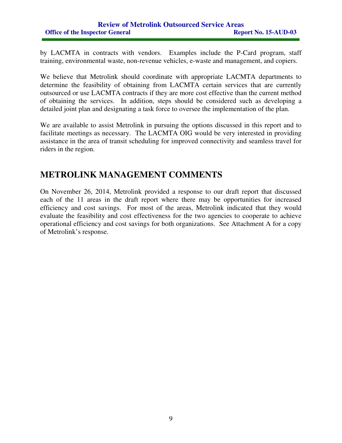by LACMTA in contracts with vendors. Examples include the P-Card program, staff training, environmental waste, non-revenue vehicles, e-waste and management, and copiers.

We believe that Metrolink should coordinate with appropriate LACMTA departments to determine the feasibility of obtaining from LACMTA certain services that are currently outsourced or use LACMTA contracts if they are more cost effective than the current method of obtaining the services. In addition, steps should be considered such as developing a detailed joint plan and designating a task force to oversee the implementation of the plan.

We are available to assist Metrolink in pursuing the options discussed in this report and to facilitate meetings as necessary. The LACMTA OIG would be very interested in providing assistance in the area of transit scheduling for improved connectivity and seamless travel for riders in the region.

# **METROLINK MANAGEMENT COMMENTS**

On November 26, 2014, Metrolink provided a response to our draft report that discussed each of the 11 areas in the draft report where there may be opportunities for increased efficiency and cost savings. For most of the areas, Metrolink indicated that they would evaluate the feasibility and cost effectiveness for the two agencies to cooperate to achieve operational efficiency and cost savings for both organizations. See Attachment A for a copy of Metrolink's response.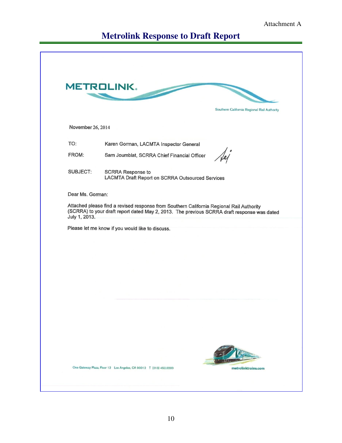# **Metrolink Response to Draft Report**

|                   | <b>METROLINK.</b>                                                                                                                                                                       |
|-------------------|-----------------------------------------------------------------------------------------------------------------------------------------------------------------------------------------|
|                   |                                                                                                                                                                                         |
|                   | Southern California Regional Rail Authority                                                                                                                                             |
| November 26, 2014 |                                                                                                                                                                                         |
| TO:               | Karen Gorman, LACMTA Inspector General                                                                                                                                                  |
| FROM:             | Sam Joumblat, SCRRA Chief Financial Officer                                                                                                                                             |
| SUBJECT:          | <b>SCRRA Response to</b><br>LACMTA Draft Report on SCRRA Outsourced Services                                                                                                            |
| Dear Ms. Gorman:  |                                                                                                                                                                                         |
| July 1, 2013.     | Attached please find a revised response from Southern California Regional Rail Authority<br>(SCRRA) to your draft report dated May 2, 2013. The previous SCRRA draft response was dated |
|                   | Please let me know if you would like to discuss.                                                                                                                                        |
|                   |                                                                                                                                                                                         |
|                   |                                                                                                                                                                                         |
|                   |                                                                                                                                                                                         |
|                   |                                                                                                                                                                                         |
|                   |                                                                                                                                                                                         |
|                   |                                                                                                                                                                                         |
|                   |                                                                                                                                                                                         |
|                   |                                                                                                                                                                                         |
|                   |                                                                                                                                                                                         |
|                   |                                                                                                                                                                                         |
|                   |                                                                                                                                                                                         |
|                   |                                                                                                                                                                                         |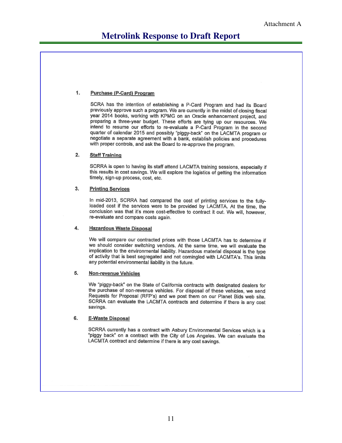#### 1. **Purchase (P-Card) Program**

SCRA has the intention of establishing a P-Card Program and had its Board previously approve such a program. We are currently in the midst of closing fiscal year 2014 books, working with KPMG on an Oracle enhancement project, and preparing a three-year budget. These efforts are tying up our resources. We intend to resume our efforts to re-evaluate a P-Card Program in the second quarter of calendar 2015 and possibly "piggy-back" on the LACMTA program or negotiate a separate agreement with a bank, establish policies and procedures with proper controls, and ask the Board to re-approve the program.

#### $2.$ **Staff Training**

SCRRA is open to having its staff attend LACMTA training sessions, especially if this results in cost savings. We will explore the logistics of getting the information timely, sign-up process, cost, etc.

#### 3. **Printing Services**

In mid-2013, SCRRA had compared the cost of printing services to the fullyloaded cost if the services were to be provided by LACMTA. At the time, the conclusion was that it's more cost-effective to contract it out. We will, however, re-evaluate and compare costs again.

#### 4. **Hazardous Waste Disposal**

We will compare our contracted prices with those LACMTA has to determine if we should consider switching vendors. At the same time, we will evaluate the implication to the environmental liability. Hazardous material disposal is the type of activity that is best segregated and not comingled with LACMTA's. This limits any potential environmental liability in the future.

#### 5. **Non-revenue Vehicles**

We "piggy-back" on the State of California contracts with designated dealers for the purchase of non-revenue vehicles. For disposal of these vehicles, we send Requests for Proposal (RFP's) and we post them on our Planet Bids web site. SCRRA can evaluate the LACMTA contracts and determine if there is any cost savings.

#### 6. **E-Waste Disposal**

SCRRA currently has a contract with Asbury Environmental Services which is a "piggy back" on a contract with the City of Los Angeles. We can evaluate the LACMTA contract and determine if there is any cost savings.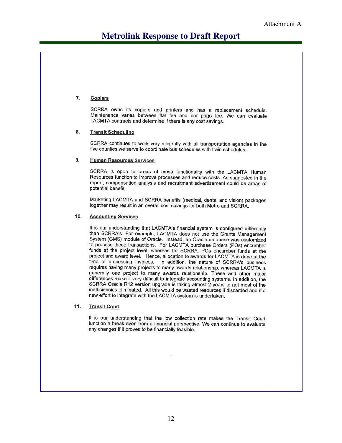# **Metrolink Response to Draft Report**

#### 7. **Copiers**

SCRRA owns its copiers and printers and has a replacement schedule. Maintenance varies between flat fee and per page fee. We can evaluate LACMTA contracts and determine if there is any cost savings.

#### 8. **Transit Scheduling**

SCRRA continues to work very diligently with all transportation agencies in the five counties we serve to coordinate bus schedules with train schedules.

#### **Human Resources Services** 9.

SCRRA is open to areas of cross functionality with the LACMTA Human Resources function to improve processes and reduce costs. As suggested in the report, compensation analysis and recruitment advertisement could be areas of potential benefit.

Marketing LACMTA and SCRRA benefits (medical, dental and vision) packages together may result in an overall cost savings for both Metro and SCRRA.

#### $10.$ **Accounting Services**

It is our understanding that LACMTA's financial system is configured differently than SCRRA's. For example, LACMTA does not use the Grants Management System (GMS) module of Oracle. Instead, an Oracle database was customized to process these transactions. For LACMTA purchase Orders (POs) encumber funds at the project level, whereas for SCRRA, POs encumber funds at the project and award level. Hence, allocation to awards for LACMTA is done at the time of processing invoices. In addition, the nature of SCRRA's business requires having many projects to many awards relationship, whereas LACMTA is generally one project to many awards relationship. These and other maior differences make it very difficult to integrate accounting systems. In addition, the SCRRA Oracle R12 version upgrade is taking almost 2 years to get most of the inefficiencies eliminated. All this would be wasted resources if discarded and if a new effort to integrate with the LACMTA system is undertaken.

#### $11.$ **Transit Court**

It is our understanding that the low collection rate makes the Transit Court function a break-even from a financial perspective. We can continue to evaluate any changes if it proves to be financially feasible.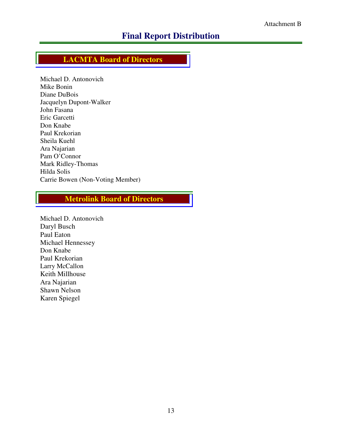# **Final Report Distribution**

# **LACMTA Board of Directors**

Michael D. Antonovich Mike Bonin Diane DuBois Jacquelyn Dupont-Walker John Fasana Eric Garcetti Don Knabe Paul Krekorian Sheila Kuehl Ara Najarian Pam O'Connor Mark Ridley-Thomas Hilda Solis Carrie Bowen (Non-Voting Member)

# **Metrolink Board of Directors**

Michael D. Antonovich Daryl Busch Paul Eaton Michael Hennessey Don Knabe Paul Krekorian Larry McCallon Keith Millhouse Ara Najarian Shawn Nelson Karen Spiegel